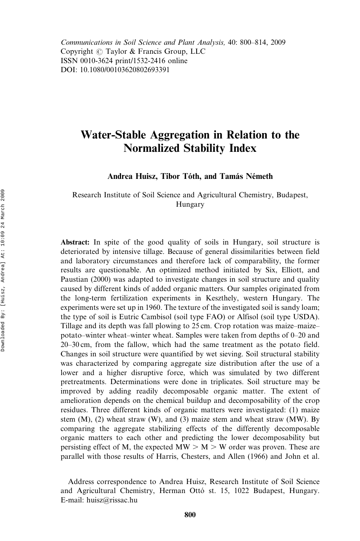Communications in Soil Science and Plant Analysis, 40: 800–814, 2009 Copyright  $\circled{c}$  Taylor & Francis Group, LLC ISSN 0010-3624 print/1532-2416 online DOI: 10.1080/00103620802693391

# Water-Stable Aggregation in Relation to the Normalized Stability Index

Andrea Huisz, Tibor Tóth, and Tamás Németh

Research Institute of Soil Science and Agricultural Chemistry, Budapest, Hungary

Abstract: In spite of the good quality of soils in Hungary, soil structure is deteriorated by intensive tillage. Because of general dissimilarities between field and laboratory circumstances and therefore lack of comparability, the former results are questionable. An optimized method initiated by Six, Elliott, and Paustian (2000) was adapted to investigate changes in soil structure and quality caused by different kinds of added organic matters. Our samples originated from the long-term fertilization experiments in Keszthely, western Hungary. The experiments were set up in 1960. The texture of the investigated soil is sandy loam; the type of soil is Eutric Cambisol (soil type FAO) or Alfisol (soil type USDA). Tillage and its depth was fall plowing to 25 cm. Crop rotation was maize–maize– potato–winter wheat–winter wheat. Samples were taken from depths of 0–20 and 20–30 cm, from the fallow, which had the same treatment as the potato field. Changes in soil structure were quantified by wet sieving. Soil structural stability was characterized by comparing aggregate size distribution after the use of a lower and a higher disruptive force, which was simulated by two different pretreatments. Determinations were done in triplicates. Soil structure may be improved by adding readily decomposable organic matter. The extent of amelioration depends on the chemical buildup and decomposability of the crop residues. Three different kinds of organic matters were investigated: (1) maize stem (M), (2) wheat straw (W), and (3) maize stem and wheat straw (MW). By comparing the aggregate stabilizing effects of the differently decomposable organic matters to each other and predicting the lower decomposability but persisting effect of M, the expected  $MW > M > W$  order was proven. These are parallel with those results of Harris, Chesters, and Allen (1966) and John et al.

Address correspondence to Andrea Huisz, Research Institute of Soil Science and Agricultural Chemistry, Herman Ottó st. 15, 1022 Budapest, Hungary. E-mail: huisz@rissac.hu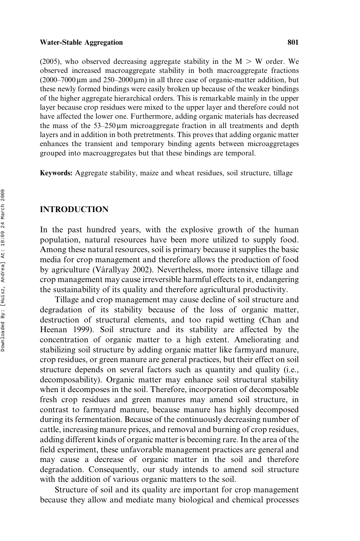(2005), who observed decreasing aggregate stability in the  $M > W$  order. We observed increased macroaggregate stability in both macroaggregate fractions  $(2000-7000 \,\mu m$  and  $250-2000 \,\mu m)$  in all three case of organic-matter addition, but these newly formed bindings were easily broken up because of the weaker bindings of the higher aggregate hierarchical orders. This is remarkable mainly in the upper layer because crop residues were mixed to the upper layer and therefore could not have affected the lower one. Furthermore, adding organic materials has decreased the mass of the  $53-250 \mu m$  microaggregate fraction in all treatments and depth layers and in addition in both pretretments. This proves that adding organic matter enhances the transient and temporary binding agents between microaggretages grouped into macroaggregates but that these bindings are temporal.

Keywords: Aggregate stability, maize and wheat residues, soil structure, tillage

# INTRODUCTION

In the past hundred years, with the explosive growth of the human population, natural resources have been more utilized to supply food. Among these natural resources, soil is primary because it supplies the basic media for crop management and therefore allows the production of food by agriculture (Várallyay 2002). Nevertheless, more intensive tillage and crop management may cause irreversible harmful effects to it, endangering the sustainability of its quality and therefore agricultural productivity.

Tillage and crop management may cause decline of soil structure and degradation of its stability because of the loss of organic matter, destruction of structural elements, and too rapid wetting (Chan and Heenan 1999). Soil structure and its stability are affected by the concentration of organic matter to a high extent. Ameliorating and stabilizing soil structure by adding organic matter like farmyard manure, crop residues, or green manure are general practices, but their effect on soil structure depends on several factors such as quantity and quality (i.e., decomposability). Organic matter may enhance soil structural stability when it decomposes in the soil. Therefore, incorporation of decomposable fresh crop residues and green manures may amend soil structure, in contrast to farmyard manure, because manure has highly decomposed during its fermentation. Because of the continuously decreasing number of cattle, increasing manure prices, and removal and burning of crop residues, adding different kinds of organic matter is becoming rare. In the area of the field experiment, these unfavorable management practices are general and may cause a decrease of organic matter in the soil and therefore degradation. Consequently, our study intends to amend soil structure with the addition of various organic matters to the soil.

Structure of soil and its quality are important for crop management because they allow and mediate many biological and chemical processes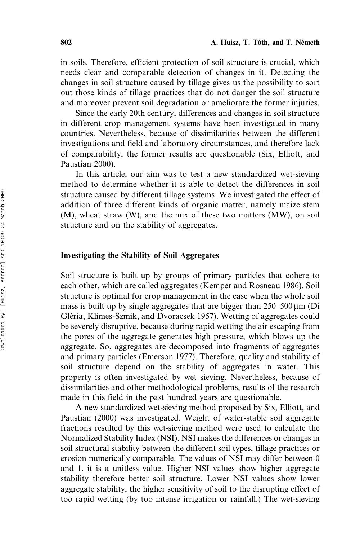in soils. Therefore, efficient protection of soil structure is crucial, which needs clear and comparable detection of changes in it. Detecting the changes in soil structure caused by tillage gives us the possibility to sort out those kinds of tillage practices that do not danger the soil structure and moreover prevent soil degradation or ameliorate the former injuries.

Since the early 20th century, differences and changes in soil structure in different crop management systems have been investigated in many countries. Nevertheless, because of dissimilarities between the different investigations and field and laboratory circumstances, and therefore lack of comparability, the former results are questionable (Six, Elliott, and Paustian 2000).

In this article, our aim was to test a new standardized wet-sieving method to determine whether it is able to detect the differences in soil structure caused by different tillage systems. We investigated the effect of addition of three different kinds of organic matter, namely maize stem (M), wheat straw (W), and the mix of these two matters (MW), on soil structure and on the stability of aggregates.

# Investigating the Stability of Soil Aggregates

Soil structure is built up by groups of primary particles that cohere to each other, which are called aggregates (Kemper and Rosneau 1986). Soil structure is optimal for crop management in the case when the whole soil mass is built up by single aggregates that are bigger than  $250-500 \mu m$  (Di Gléria, Klimes-Szmik, and Dvoracsek 1957). Wetting of aggregates could be severely disruptive, because during rapid wetting the air escaping from the pores of the aggregate generates high pressure, which blows up the aggregate. So, aggregates are decomposed into fragments of aggregates and primary particles (Emerson 1977). Therefore, quality and stability of soil structure depend on the stability of aggregates in water. This property is often investigated by wet sieving. Nevertheless, because of dissimilarities and other methodological problems, results of the research made in this field in the past hundred years are questionable.

A new standardized wet-sieving method proposed by Six, Elliott, and Paustian (2000) was investigated. Weight of water-stable soil aggregate fractions resulted by this wet-sieving method were used to calculate the Normalized Stability Index (NSI). NSI makes the differences or changes in soil structural stability between the different soil types, tillage practices or erosion numerically comparable. The values of NSI may differ between 0 and 1, it is a unitless value. Higher NSI values show higher aggregate stability therefore better soil structure. Lower NSI values show lower aggregate stability, the higher sensitivity of soil to the disrupting effect of too rapid wetting (by too intense irrigation or rainfall.) The wet-sieving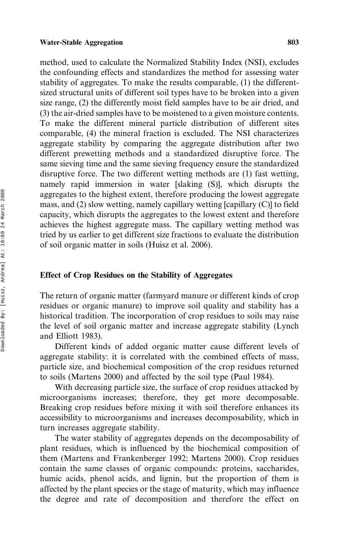method, used to calculate the Normalized Stability Index (NSI), excludes the confounding effects and standardizes the method for assessing water stability of aggregates. To make the results comparable, (1) the differentsized structural units of different soil types have to be broken into a given size range, (2) the differently moist field samples have to be air dried, and (3) the air-dried samples have to be moistened to a given moisture contents. To make the different mineral particle distribution of different sites comparable, (4) the mineral fraction is excluded. The NSI characterizes aggregate stability by comparing the aggregate distribution after two different prewetting methods and a standardized disruptive force. The same sieving time and the same sieving frequency ensure the standardized disruptive force. The two different wetting methods are (1) fast wetting, namely rapid immersion in water [slaking (S)], which disrupts the aggregates to the highest extent, therefore producing the lowest aggregate mass, and (2) slow wetting, namely capillary wetting [capillary (C)] to field capacity, which disrupts the aggregates to the lowest extent and therefore achieves the highest aggregate mass. The capillary wetting method was tried by us earlier to get different size fractions to evaluate the distribution of soil organic matter in soils (Huisz et al. 2006).

# Effect of Crop Residues on the Stability of Aggregates

The return of organic matter (farmyard manure or different kinds of crop residues or organic manure) to improve soil quality and stability has a historical tradition. The incorporation of crop residues to soils may raise the level of soil organic matter and increase aggregate stability (Lynch and Elliott 1983).

Different kinds of added organic matter cause different levels of aggregate stability: it is correlated with the combined effects of mass, particle size, and biochemical composition of the crop residues returned to soils (Martens 2000) and affected by the soil type (Paul 1984).

With decreasing particle size, the surface of crop residues attacked by microorganisms increases; therefore, they get more decomposable. Breaking crop residues before mixing it with soil therefore enhances its accessibility to microorganisms and increases decomposability, which in turn increases aggregate stability.

The water stability of aggregates depends on the decomposability of plant residues, which is influenced by the biochemical composition of them (Martens and Frankenberger 1992; Martens 2000). Crop residues contain the same classes of organic compounds: proteins, saccharides, humic acids, phenol acids, and lignin, but the proportion of them is affected by the plant species or the stage of maturity, which may influence the degree and rate of decomposition and therefore the effect on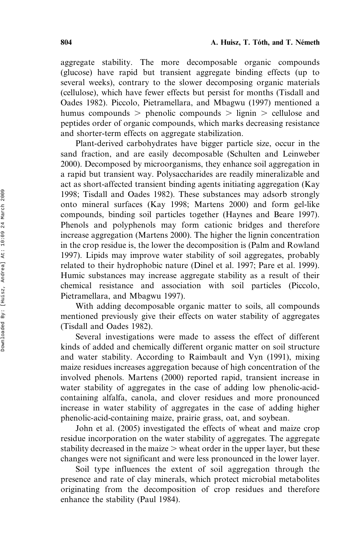aggregate stability. The more decomposable organic compounds (glucose) have rapid but transient aggregate binding effects (up to several weeks), contrary to the slower decomposing organic materials (cellulose), which have fewer effects but persist for months (Tisdall and Oades 1982). Piccolo, Pietramellara, and Mbagwu (1997) mentioned a humus compounds  $>$  phenolic compounds  $>$  lignin  $>$  cellulose and peptides order of organic compounds, which marks decreasing resistance and shorter-term effects on aggregate stabilization.

Plant-derived carbohydrates have bigger particle size, occur in the sand fraction, and are easily decomposable (Schulten and Leinweber 2000). Decomposed by microorganisms, they enhance soil aggregation in a rapid but transient way. Polysaccharides are readily mineralizable and act as short-affected transient binding agents initiating aggregation (Kay 1998; Tisdall and Oades 1982). These substances may adsorb strongly onto mineral surfaces (Kay 1998; Martens 2000) and form gel-like compounds, binding soil particles together (Haynes and Beare 1997). Phenols and polyphenols may form cationic bridges and therefore increase aggregation (Martens 2000). The higher the lignin concentration in the crop residue is, the lower the decomposition is (Palm and Rowland 1997). Lipids may improve water stability of soil aggregates, probably related to their hydrophobic nature (Dinel et al. 1997; Pare et al. 1999). Humic substances may increase aggregate stability as a result of their chemical resistance and association with soil particles (Piccolo, Pietramellara, and Mbagwu 1997).

With adding decomposable organic matter to soils, all compounds mentioned previously give their effects on water stability of aggregates (Tisdall and Oades 1982).

Several investigations were made to assess the effect of different kinds of added and chemically different organic matter on soil structure and water stability. According to Raimbault and Vyn (1991), mixing maize residues increases aggregation because of high concentration of the involved phenols. Martens (2000) reported rapid, transient increase in water stability of aggregates in the case of adding low phenolic-acidcontaining alfalfa, canola, and clover residues and more pronounced increase in water stability of aggregates in the case of adding higher phenolic-acid-containing maize, prairie grass, oat, and soybean.

John et al. (2005) investigated the effects of wheat and maize crop residue incorporation on the water stability of aggregates. The aggregate stability decreased in the maize  $\geq$  wheat order in the upper layer, but these changes were not significant and were less pronounced in the lower layer.

Soil type influences the extent of soil aggregation through the presence and rate of clay minerals, which protect microbial metabolites originating from the decomposition of crop residues and therefore enhance the stability (Paul 1984).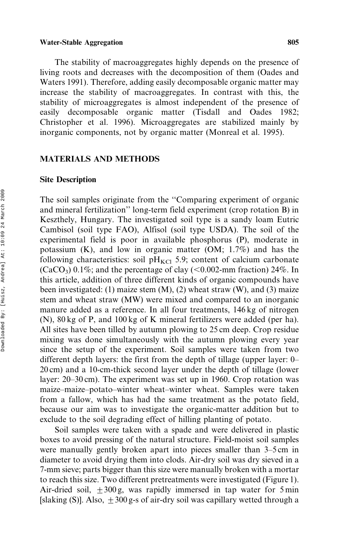The stability of macroaggregates highly depends on the presence of living roots and decreases with the decomposition of them (Oades and Waters 1991). Therefore, adding easily decomposable organic matter may increase the stability of macroaggregates. In contrast with this, the stability of microaggregates is almost independent of the presence of easily decomposable organic matter (Tisdall and Oades 1982; Christopher et al. 1996). Microaggregates are stabilized mainly by inorganic components, not by organic matter (Monreal et al. 1995).

# MATERIALS AND METHODS

# Site Description

The soil samples originate from the ''Comparing experiment of organic and mineral fertilization'' long-term field experiment (crop rotation B) in Keszthely, Hungary. The investigated soil type is a sandy loam Eutric Cambisol (soil type FAO), Alfisol (soil type USDA). The soil of the experimental field is poor in available phosphorus (P), moderate in potassium (K), and low in organic matter (OM; 1.7%) and has the following characteristics: soil  $pH_{\text{KCl}}$  5.9; content of calcium carbonate  $(CaCO<sub>3</sub>)$  0.1%; and the percentage of clay (<0.002-mm fraction) 24%. In this article, addition of three different kinds of organic compounds have been investigated: (1) maize stem  $(M)$ , (2) wheat straw  $(W)$ , and (3) maize stem and wheat straw (MW) were mixed and compared to an inorganic manure added as a reference. In all four treatments, 146 kg of nitrogen (N), 80 kg of P, and 100 kg of K mineral fertilizers were added (per ha). All sites have been tilled by autumn plowing to 25 cm deep. Crop residue mixing was done simultaneously with the autumn plowing every year since the setup of the experiment. Soil samples were taken from two different depth layers: the first from the depth of tillage (upper layer: 0– 20 cm) and a 10-cm-thick second layer under the depth of tillage (lower layer: 20–30 cm). The experiment was set up in 1960. Crop rotation was maize–maize–potato–winter wheat–winter wheat. Samples were taken from a fallow, which has had the same treatment as the potato field, because our aim was to investigate the organic-matter addition but to exclude to the soil degrading effect of hilling planting of potato.

Soil samples were taken with a spade and were delivered in plastic boxes to avoid pressing of the natural structure. Field-moist soil samples were manually gently broken apart into pieces smaller than 3–5 cm in diameter to avoid drying them into clods. Air-dry soil was dry sieved in a 7-mm sieve; parts bigger than this size were manually broken with a mortar to reach this size. Two different pretreatments were investigated (Figure 1). Air-dried soil,  $+300 g$ , was rapidly immersed in tap water for 5 min [slaking (S)]. Also,  $\pm 300$  g-s of air-dry soil was capillary wetted through a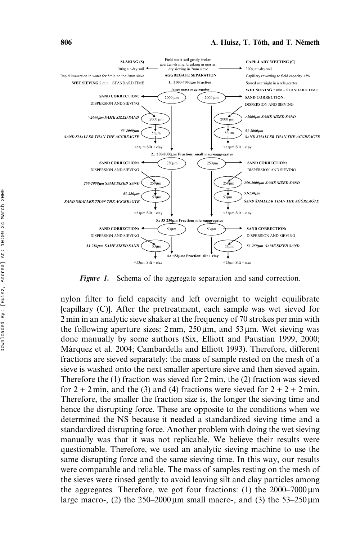

Figure 1. Schema of the aggregate separation and sand correction.

nylon filter to field capacity and left overnight to weight equilibrate [capillary (C)]. After the pretreatment, each sample was wet sieved for 2 min in an analytic sieve shaker at the frequency of 70 strokes per min with the following aperture sizes:  $2 \text{ mm}$ ,  $250 \mu \text{m}$ , and  $53 \mu \text{m}$ . Wet sieving was done manually by some authors (Six, Elliott and Paustian 1999, 2000; Ma´rquez et al. 2004; Cambardella and Elliott 1993). Therefore, different fractions are sieved separately: the mass of sample rested on the mesh of a sieve is washed onto the next smaller aperture sieve and then sieved again. Therefore the (1) fraction was sieved for 2 min, the (2) fraction was sieved for  $2 + 2$  min, and the (3) and (4) fractions were sieved for  $2 + 2 + 2$  min. Therefore, the smaller the fraction size is, the longer the sieving time and hence the disrupting force. These are opposite to the conditions when we determined the NS because it needed a standardized sieving time and a standardized disrupting force. Another problem with doing the wet sieving manually was that it was not replicable. We believe their results were questionable. Therefore, we used an analytic sieving machine to use the same disrupting force and the same sieving time. In this way, our results were comparable and reliable. The mass of samples resting on the mesh of the sieves were rinsed gently to avoid leaving silt and clay particles among the aggregates. Therefore, we got four fractions: (1) the  $2000-7000 \,\mu m$ large macro-, (2) the  $250-2000 \,\mu m$  small macro-, and (3) the  $53-250 \,\mu m$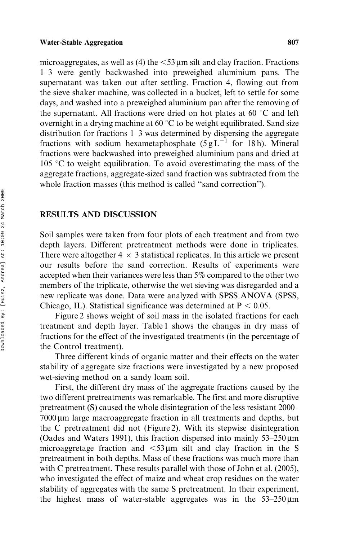microaggregates, as well as (4) the  $\leq$ 53 µm silt and clay fraction. Fractions 1–3 were gently backwashed into preweighed aluminium pans. The supernatant was taken out after settling. Fraction 4, flowing out from the sieve shaker machine, was collected in a bucket, left to settle for some days, and washed into a preweighed aluminium pan after the removing of the supernatant. All fractions were dried on hot plates at 60  $\degree$ C and left overnight in a drying machine at 60  $^{\circ}$ C to be weight equilibrated. Sand size distribution for fractions 1–3 was determined by dispersing the aggregate fractions with sodium hexametaphosphate  $(5 g L^{-1}$  for 18 h). Mineral fractions were backwashed into preweighed aluminium pans and dried at 105 °C to weight equilibration. To avoid overestimating the mass of the aggregate fractions, aggregate-sized sand fraction was subtracted from the whole fraction masses (this method is called ''sand correction'').

# RESULTS AND DISCUSSION

Soil samples were taken from four plots of each treatment and from two depth layers. Different pretreatment methods were done in triplicates. There were altogether  $4 \times 3$  statistical replicates. In this article we present our results before the sand correction. Results of experiments were accepted when their variances were less than 5% compared to the other two members of the triplicate, otherwise the wet sieving was disregarded and a new replicate was done. Data were analyzed with SPSS ANOVA (SPSS, Chicago, IL). Statistical significance was determined at  $P < 0.05$ .

Figure 2 shows weight of soil mass in the isolated fractions for each treatment and depth layer. Table 1 shows the changes in dry mass of fractions for the effect of the investigated treatments (in the percentage of the Control treatment).

Three different kinds of organic matter and their effects on the water stability of aggregate size fractions were investigated by a new proposed wet-sieving method on a sandy loam soil.

First, the different dry mass of the aggregate fractions caused by the two different pretreatments was remarkable. The first and more disruptive pretreatment (S) caused the whole disintegration of the less resistant 2000–  $7000 \,\mu m$  large macroaggregate fraction in all treatments and depths, but the C pretreatment did not (Figure 2). With its stepwise disintegration (Oades and Waters 1991), this fraction dispersed into mainly  $53-250 \,\text{\ensuremath{\mu}m}$ microaggretage fraction and  $\leq 53 \,\mu m$  silt and clay fraction in the S pretreatment in both depths. Mass of these fractions was much more than with C pretreatment. These results parallel with those of John et al. (2005), who investigated the effect of maize and wheat crop residues on the water stability of aggregates with the same S pretreatment. In their experiment, the highest mass of water-stable aggregates was in the  $53-250 \,\text{\ensuremath{\mu}m}$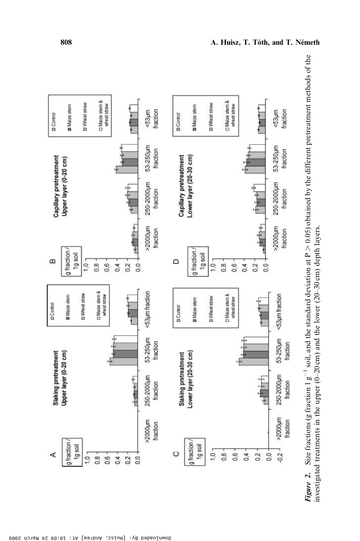

Size fractions (g fraction 1  $g^{-1}$  soil, and the standard deviation at P  $>$  0.05) obtained by the different pretreatment methods of the  $> 0.05$ ) obtained by the different pretreatment methods of the investigated treatments in the upper (0–20 cm) and the lower (20–30 cm) depth layers. investigated treatments in the upper (0-20 cm) and the lower (20-30 cm) depth layers. Figure 2. Size fractions (g fraction 1  $g^{-1}$  soil, and the standard deviation at P Figure 2.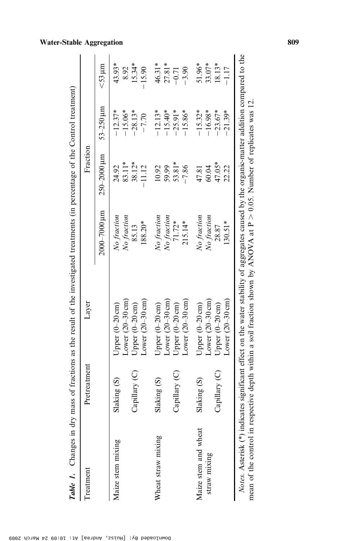| Treatment                            | Pretreatment  | Layer                                                                                                                                                                                                                                                                    |                             | Fraction           |                        |                      |
|--------------------------------------|---------------|--------------------------------------------------------------------------------------------------------------------------------------------------------------------------------------------------------------------------------------------------------------------------|-----------------------------|--------------------|------------------------|----------------------|
|                                      |               |                                                                                                                                                                                                                                                                          | $2000$ – $7000\,\mu{\rm m}$ | $250 - 2000 \mu m$ | $53 - 250$ $\mu$ m     | $<$ 53 $\mu$ m       |
| Maize stem mixing                    | Slaking (S)   | Lower $(20-30 \text{ cm})$<br>Upper $(0-20 \text{ cm})$                                                                                                                                                                                                                  | No fraction<br>No fraction  | 83.11*<br>24.92    | $-12.37*$<br>$-15.06*$ | $43.93*$<br>8.92     |
|                                      | Capillary (C) | Lower $(20-30 \text{ cm})$<br>Upper $(0-20 \text{ cm})$                                                                                                                                                                                                                  | 188.20*<br>85.13            | 38.12*<br>$-11.12$ | $-28.13*$<br>$-7.70$   | 15.34*<br>$-15.90$   |
| Wheat straw mixing                   | Slaking (S)   | Lower $(20-30 \text{ cm})$<br>Upper (0-20 cm)                                                                                                                                                                                                                            | No fraction<br>No fraction  | 59.99<br>10.92     | $-12.13*$<br>$-15.40*$ | $46.31*$<br>$27.81*$ |
|                                      | Capillary (C) | Lower $(20-30 \text{ cm})$<br>Upper (0-20 cm)                                                                                                                                                                                                                            | 71.72*<br>$215.14*$         | 53.81*<br>$-7.86$  | $-25.91*$<br>$-15.86*$ | $-3.90$<br>$-0.71$   |
| Maize stem and wheat<br>straw mixing | Slaking (S)   | Lower $(20-30 \text{ cm})$<br>Upper (0-20 cm)                                                                                                                                                                                                                            | No fraction<br>No fraction  | 60.04<br>47.81     | $-15.32*$<br>$-16.98*$ | 51.96*<br>33.07*     |
|                                      | Capillary (C) | Lower $(20-30 \text{ cm})$<br>Upper $(0-20 \text{ cm})$                                                                                                                                                                                                                  | $130.51*$<br>28.87          | 47.05*<br>22.22    | $-23.67*$<br>$-21.39*$ | 18.13*<br>$-1.17$    |
|                                      |               | Notes. Asterisk (*) indicates significant effect on the water stability of aggregates caused by the organic-matter addition compared to the<br>mean of the control in respective depth within a soil fraction shown by ANOVA at $P > 0.05$ . Number of replicates was 12 |                             |                    |                        |                      |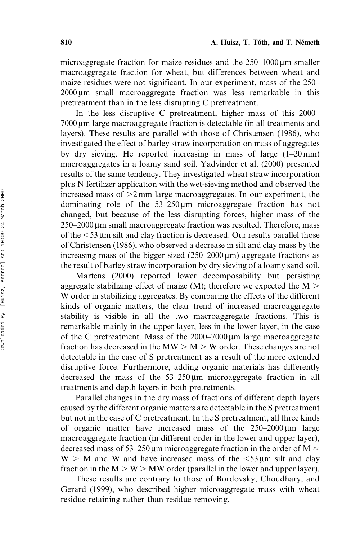microaggregate fraction for maize residues and the  $250-1000 \,\mu m$  smaller macroaggregate fraction for wheat, but differences between wheat and maize residues were not significant. In our experiment, mass of the 250–  $2000 \,\mu m$  small macroaggregate fraction was less remarkable in this pretreatment than in the less disrupting C pretreatment.

In the less disruptive C pretreatment, higher mass of this 2000– 7000 mm large macroaggregate fraction is detectable (in all treatments and layers). These results are parallel with those of Christensen (1986), who investigated the effect of barley straw incorporation on mass of aggregates by dry sieving. He reported increasing in mass of large (1–20 mm) macroaggregates in a loamy sand soil. Yadvinder et al. (2000) presented results of the same tendency. They investigated wheat straw incorporation plus N fertilizer application with the wet-sieving method and observed the increased mass of  $>2$  mm large macroaggregates. In our experiment, the dominating role of the  $53-250 \mu m$  microaggregate fraction has not changed, but because of the less disrupting forces, higher mass of the  $250-2000 \,\mu m$  small macroaggregate fraction was resulted. Therefore, mass of the  $<$  53  $\mu$ m silt and clay fraction is decreased. Our results parallel those of Christensen (1986), who observed a decrease in silt and clay mass by the increasing mass of the bigger sized  $(250-2000 \,\mu m)$  aggregate fractions as the result of barley straw incorporation by dry sieving of a loamy sand soil.

Martens (2000) reported lower decomposability but persisting aggregate stabilizing effect of maize (M); therefore we expected the  $M >$ W order in stabilizing aggregates. By comparing the effects of the different kinds of organic matters, the clear trend of increased macroaggregate stability is visible in all the two macroaggregate fractions. This is remarkable mainly in the upper layer, less in the lower layer, in the case of the C pretreatment. Mass of the  $2000-7000 \,\mu m$  large macroaggregate fraction has decreased in the  $MW > M > W$  order. These changes are not detectable in the case of S pretreatment as a result of the more extended disruptive force. Furthermore, adding organic materials has differently decreased the mass of the  $53-250 \mu m$  microaggregate fraction in all treatments and depth layers in both pretretments.

Parallel changes in the dry mass of fractions of different depth layers caused by the different organic matters are detectable in the S pretreatment but not in the case of C pretreatment. In the S pretreatment, all three kinds of organic matter have increased mass of the  $250-2000 \,\mu m$  large macroaggregate fraction (in different order in the lower and upper layer), decreased mass of 53–250 µm microaggregate fraction in the order of M  $\approx$  $W > M$  and W and have increased mass of the  $\lt 53 \mu m$  silt and clay fraction in the  $M > W > MW$  order (parallel in the lower and upper layer).

These results are contrary to those of Bordovsky, Choudhary, and Gerard (1999), who described higher microaggregate mass with wheat residue retaining rather than residue removing.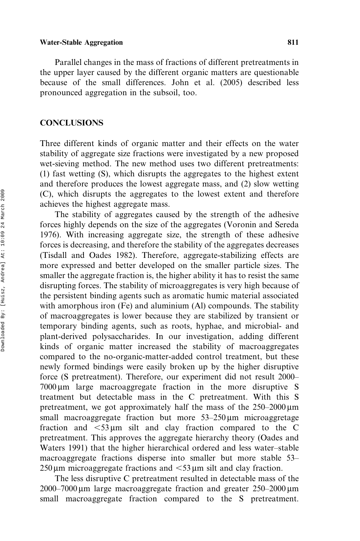Parallel changes in the mass of fractions of different pretreatments in the upper layer caused by the different organic matters are questionable because of the small differences. John et al. (2005) described less pronounced aggregation in the subsoil, too.

### **CONCLUSIONS**

Three different kinds of organic matter and their effects on the water stability of aggregate size fractions were investigated by a new proposed wet-sieving method. The new method uses two different pretreatments: (1) fast wetting (S), which disrupts the aggregates to the highest extent and therefore produces the lowest aggregate mass, and (2) slow wetting (C), which disrupts the aggregates to the lowest extent and therefore achieves the highest aggregate mass.

The stability of aggregates caused by the strength of the adhesive forces highly depends on the size of the aggregates (Voronin and Sereda 1976). With increasing aggregate size, the strength of these adhesive forces is decreasing, and therefore the stability of the aggregates decreases (Tisdall and Oades 1982). Therefore, aggregate-stabilizing effects are more expressed and better developed on the smaller particle sizes. The smaller the aggregate fraction is, the higher ability it has to resist the same disrupting forces. The stability of microaggregates is very high because of the persistent binding agents such as aromatic humic material associated with amorphous iron (Fe) and aluminium (Al) compounds. The stability of macroaggregates is lower because they are stabilized by transient or temporary binding agents, such as roots, hyphae, and microbial- and plant-derived polysaccharides. In our investigation, adding different kinds of organic matter increased the stability of macroaggregates compared to the no-organic-matter-added control treatment, but these newly formed bindings were easily broken up by the higher disruptive force (S pretreatment). Therefore, our experiment did not result 2000–  $7000 \,\mu m$  large macroaggregate fraction in the more disruptive S treatment but detectable mass in the C pretreatment. With this S pretreatment, we got approximately half the mass of the  $250-2000 \,\mu m$ small macroaggregate fraction but more  $53-250 \,\mu m$  microaggretage fraction and  $\lt 53 \mu m$  silt and clay fraction compared to the C pretreatment. This approves the aggregate hierarchy theory (Oades and Waters 1991) that the higher hierarchical ordered and less water–stable macroaggregate fractions disperse into smaller but more stable 53–  $250 \,\mu m$  microaggregate fractions and  $\leq 53 \,\mu m$  silt and clay fraction.

The less disruptive C pretreatment resulted in detectable mass of the  $2000-7000 \,\mu m$  large macroaggregate fraction and greater  $250-2000 \,\mu m$ small macroaggregate fraction compared to the S pretreatment.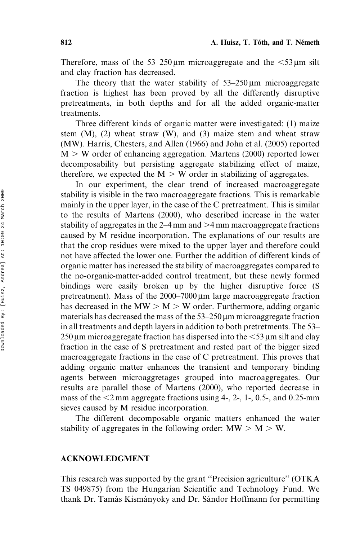Therefore, mass of the  $53-250 \mu m$  microaggregate and the  $\leq 53 \mu m$  silt and clay fraction has decreased.

The theory that the water stability of  $53-250 \mu m$  microaggregate fraction is highest has been proved by all the differently disruptive pretreatments, in both depths and for all the added organic-matter treatments.

Three different kinds of organic matter were investigated: (1) maize stem (M), (2) wheat straw (W), and (3) maize stem and wheat straw (MW). Harris, Chesters, and Allen (1966) and John et al. (2005) reported  $M > W$  order of enhancing aggregation. Martens (2000) reported lower decomposability but persisting aggregate stabilizing effect of maize, therefore, we expected the  $M > W$  order in stabilizing of aggregates.

In our experiment, the clear trend of increased macroaggregate stability is visible in the two macroaggregate fractions. This is remarkable mainly in the upper layer, in the case of the C pretreatment. This is similar to the results of Martens (2000), who described increase in the water stability of aggregates in the  $2-4$  mm and  $>4$  mm macroaggregate fractions caused by M residue incorporation. The explanations of our results are that the crop residues were mixed to the upper layer and therefore could not have affected the lower one. Further the addition of different kinds of organic matter has increased the stability of macroaggregates compared to the no-organic-matter-added control treatment, but these newly formed bindings were easily broken up by the higher disruptive force (S pretreatment). Mass of the  $2000-7000 \,\mu m$  large macroaggregate fraction has decreased in the  $MW > M > W$  order. Furthermore, adding organic materials has decreased the mass of the  $53-250 \,\mu m$  microaggregate fraction in all treatments and depth layers in addition to both pretretments. The 53–  $250 \,\mu m$  microaggregate fraction has dispersed into the  $\leq 53 \,\mu m$  silt and clay fraction in the case of S pretreatment and rested part of the bigger sized macroaggregate fractions in the case of C pretreatment. This proves that adding organic matter enhances the transient and temporary binding agents between microaggretages grouped into macroaggregates. Our results are parallel those of Martens (2000), who reported decrease in mass of the  $\leq$ 2 mm aggregate fractions using 4-, 2-, 1-, 0.5-, and 0.25-mm sieves caused by M residue incorporation.

The different decomposable organic matters enhanced the water stability of aggregates in the following order:  $MW > M > W$ .

# ACKNOWLEDGMENT

This research was supported by the grant ''Precision agriculture'' (OTKA TS 049875) from the Hungarian Scientific and Technology Fund. We thank Dr. Tamás Kismányoky and Dr. Sándor Hoffmann for permitting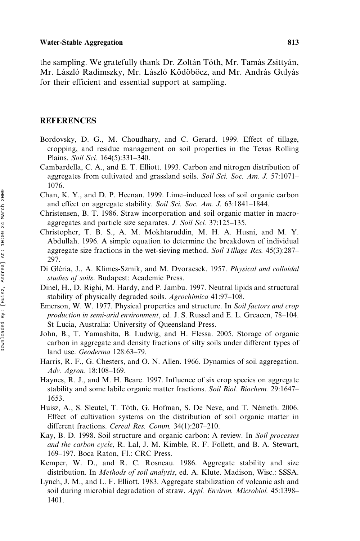the sampling. We gratefully thank Dr. Zoltán Tóth, Mr. Tamás Zsittyán, Mr. László Radimszky, Mr. László Ködöböcz, and Mr. András Gulyás for their efficient and essential support at sampling.

### **REFERENCES**

- Bordovsky, D. G., M. Choudhary, and C. Gerard. 1999. Effect of tillage, cropping, and residue management on soil properties in the Texas Rolling Plains. Soil Sci. 164(5):331–340.
- Cambardella, C. A., and E. T. Elliott. 1993. Carbon and nitrogen distribution of aggregates from cultivated and grassland soils. Soil Sci. Soc. Am. J. 57:1071– 1076.
- Chan, K. Y., and D. P. Heenan. 1999. Lime–induced loss of soil organic carbon and effect on aggregate stability. Soil Sci. Soc. Am. J. 63:1841–1844.
- Christensen, B. T. 1986. Straw incorporation and soil organic matter in macroaggregates and particle size separates. J. Soil Sci. 37:125–135.
- Christopher, T. B. S., A. M. Mokhtaruddin, M. H. A. Husni, and M. Y. Abdullah. 1996. A simple equation to determine the breakdown of individual aggregate size fractions in the wet-sieving method. Soil Tillage Res. 45(3):287– 297.
- Di Gléria, J., A. Klimes-Szmik, and M. Dvoracsek. 1957. Physical and colloidal studies of soils. Budapest: Academic Press.
- Dinel, H., D. Righi, M. Hardy, and P. Jambu. 1997. Neutral lipids and structural stability of physically degraded soils. Agrochimica 41:97–108.
- Emerson, W. W. 1977. Physical properties and structure. In Soil factors and crop production in semi-arid environment, ed. J. S. Russel and E. L. Greacen, 78–104. St Lucia, Australia: University of Queensland Press.
- John, B., T. Yamashita, B. Ludwig, and H. Flessa. 2005. Storage of organic carbon in aggregate and density fractions of silty soils under different types of land use. Geoderma 128:63–79.
- Harris, R. F., G. Chesters, and O. N. Allen. 1966. Dynamics of soil aggregation. Adv. Agron. 18:108–169.
- Haynes, R. J., and M. H. Beare. 1997. Influence of six crop species on aggregate stability and some labile organic matter fractions. Soil Biol. Biochem. 29:1647– 1653.
- Huisz, A., S. Sleutel, T. Tóth, G. Hofman, S. De Neve, and T. Németh. 2006. Effect of cultivation systems on the distribution of soil organic matter in different fractions. Cereal Res. Comm. 34(1):207–210.
- Kay, B. D. 1998. Soil structure and organic carbon: A review. In Soil processes and the carbon cycle, R. Lal, J. M. Kimble, R. F. Follett, and B. A. Stewart, 169–197. Boca Raton, Fl.: CRC Press.
- Kemper, W. D., and R. C. Rosneau. 1986. Aggregate stability and size distribution. In Methods of soil analysis, ed. A. Klute. Madison, Wisc.: SSSA.
- Lynch, J. M., and L. F. Elliott. 1983. Aggregate stabilization of volcanic ash and soil during microbial degradation of straw. Appl. Environ. Microbiol. 45:1398– 1401.